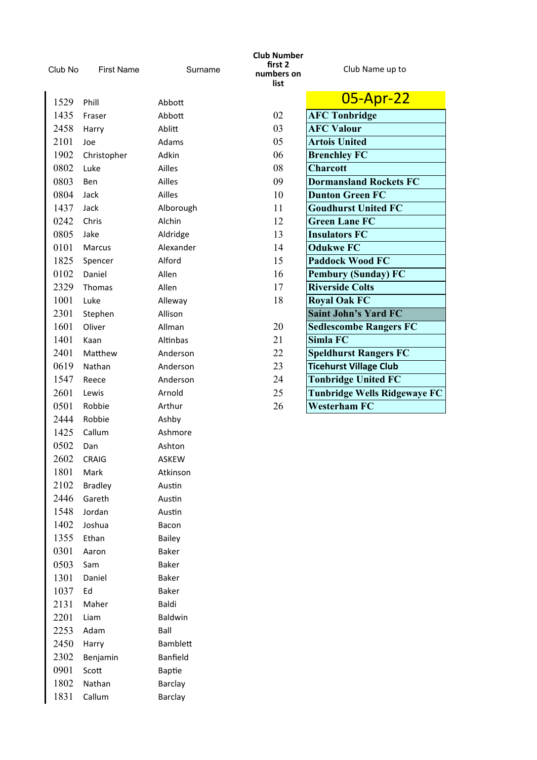| Club No | <b>First Name</b> | Surname         | <b>Club Number</b><br>first 2<br>numbers on<br>list | Club Name up to                     |
|---------|-------------------|-----------------|-----------------------------------------------------|-------------------------------------|
| 1529    | Phill             | Abbott          |                                                     | 05-Apr-22                           |
| 1435    | Fraser            | Abbott          | 02                                                  | <b>AFC Tonbridge</b>                |
| 2458    | Harry             | Ablitt          | 03                                                  | <b>AFC Valour</b>                   |
| 2101    | Joe               | Adams           | 05                                                  | <b>Artois United</b>                |
| 1902    | Christopher       | Adkin           | 06                                                  | <b>Brenchley FC</b>                 |
| 0802    | Luke              | Ailles          | 08                                                  | <b>Charcott</b>                     |
| 0803    | Ben               | Ailles          | 09                                                  | <b>Dormansland Rockets FC</b>       |
| 0804    | Jack              | Ailles          | 10                                                  | <b>Dunton Green FC</b>              |
| 1437    | Jack              | Alborough       | 11                                                  | <b>Goudhurst United FC</b>          |
| 0242    | Chris             | Alchin          | 12                                                  | <b>Green Lane FC</b>                |
| 0805    | Jake              | Aldridge        | 13                                                  | <b>Insulators FC</b>                |
| 0101    | Marcus            | Alexander       | 14                                                  | <b>Odukwe FC</b>                    |
| 1825    | Spencer           | Alford          | 15                                                  | <b>Paddock Wood FC</b>              |
| 0102    | Daniel            | Allen           | 16                                                  | <b>Pembury (Sunday) FC</b>          |
| 2329    | Thomas            | Allen           | 17                                                  | <b>Riverside Colts</b>              |
| 1001    | Luke              | Alleway         | 18                                                  | <b>Royal Oak FC</b>                 |
| 2301    | Stephen           | Allison         |                                                     | <b>Saint John's Yard FC</b>         |
| 1601    | Oliver            | Allman          | 20                                                  | <b>Sedlescombe Rangers FC</b>       |
| 1401    | Kaan              | Altinbas        | 21                                                  | Simla FC                            |
| 2401    | Matthew           | Anderson        | 22                                                  | <b>Speldhurst Rangers FC</b>        |
| 0619    | Nathan            | Anderson        | 23                                                  | <b>Ticehurst Village Club</b>       |
| 1547    | Reece             | Anderson        | 24                                                  | <b>Tonbridge United FC</b>          |
| 2601    | Lewis             | Arnold          | 25                                                  | <b>Tunbridge Wells Ridgewaye FC</b> |
| 0501    | Robbie            | Arthur          | 26                                                  | <b>Westerham FC</b>                 |
| 2444    | Robbie            | Ashby           |                                                     |                                     |
| 1425    | Callum            | Ashmore         |                                                     |                                     |
| 0502    | Dan               | Ashton          |                                                     |                                     |
| 2602    | <b>CRAIG</b>      | ASKEW           |                                                     |                                     |
| 1801    | Mark              | Atkinson        |                                                     |                                     |
| 2102    | <b>Bradley</b>    | Austin          |                                                     |                                     |
| 2446    | Gareth            | Austin          |                                                     |                                     |
| 1548    | Jordan            | Austin          |                                                     |                                     |
| 1402    | Joshua            | Bacon           |                                                     |                                     |
| 1355    | Ethan             | Bailey          |                                                     |                                     |
| 0301    | Aaron             | Baker           |                                                     |                                     |
| 0503    | Sam               | Baker           |                                                     |                                     |
| 1301    | Daniel            | <b>Baker</b>    |                                                     |                                     |
| 1037    | Ed                | <b>Baker</b>    |                                                     |                                     |
| 2131    | Maher             | Baldi           |                                                     |                                     |
| 2201    | Liam              | Baldwin         |                                                     |                                     |
| 2253    | Adam              | Ball            |                                                     |                                     |
| 2450    | Harry             | <b>Bamblett</b> |                                                     |                                     |
| 2302    | Benjamin          | Banfield        |                                                     |                                     |
| 0901    | Scott             | <b>Baptie</b>   |                                                     |                                     |
| 1802    | Nathan            | <b>Barclay</b>  |                                                     |                                     |
| 1831    | Callum            | <b>Barclay</b>  |                                                     |                                     |

π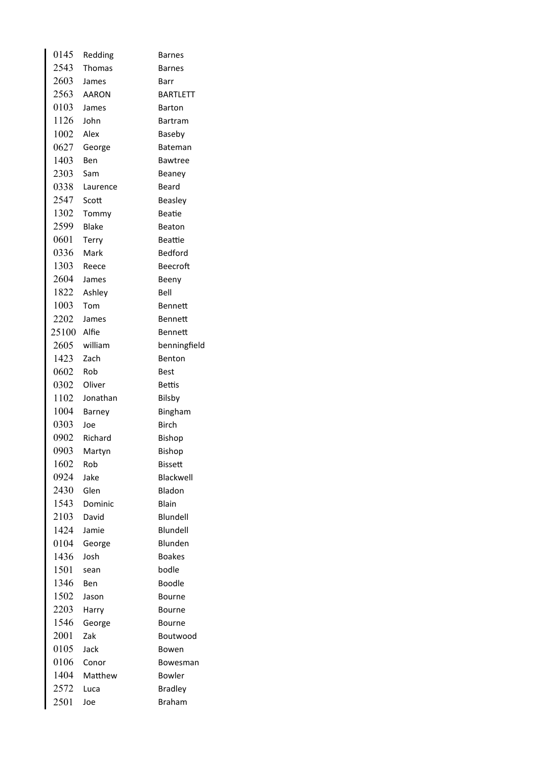| 0145  | Redding      | <b>Barnes</b>   |
|-------|--------------|-----------------|
| 2543  | Thomas       | <b>Barnes</b>   |
| 2603  | James        | Barr            |
| 2563  | <b>AARON</b> | <b>BARTLETT</b> |
| 0103  | James        | <b>Barton</b>   |
| 1126  | John         | Bartram         |
| 1002  | Alex         | Baseby          |
| 0627  | George       | Bateman         |
| 1403  | Ben          | <b>Bawtree</b>  |
| 2303  | Sam          | Beaney          |
| 0338  | Laurence     | Beard           |
| 2547  | Scott        | <b>Beasley</b>  |
| 1302  | Tommy        | <b>Beatie</b>   |
| 2599  | <b>Blake</b> | <b>Beaton</b>   |
| 0601  | <b>Terry</b> | Beattie         |
| 0336  | Mark         | <b>Bedford</b>  |
| 1303  | Reece        | <b>Beecroft</b> |
| 2604  | James        | Beeny           |
| 1822  | Ashley       | Bell            |
| 1003  | Tom          | <b>Bennett</b>  |
| 2202  | James        | <b>Bennett</b>  |
| 25100 | Alfie        | Bennett         |
| 2605  | william      | benningfield    |
| 1423  | Zach         | Benton          |
| 0602  | Rob          | Best            |
| 0302  | Oliver       | <b>Bettis</b>   |
| 1102  | Jonathan     | Bilsby          |
| 1004  | Barney       | Bingham         |
| 0303  | Joe          | <b>Birch</b>    |
| 0902  | Richard      | Bishop          |
| 0903  | Martyn       | Bishop          |
| 1602  | Rob          | Bissett         |
| 0924  | Jake         | Blackwell       |
| 2430  | Glen         | Bladon          |
| 1543  | Dominic      | Blain           |
| 2103  | David        | Blundell        |
| 1424  | Jamie        | Blundell        |
| 0104  | George       | Blunden         |
| 1436  | Josh         | <b>Boakes</b>   |
| 1501  | sean         | bodle           |
| 1346  | Ben          | Boodle          |
| 1502  | Jason        | Bourne          |
| 2203  | Harry        | Bourne          |
| 1546  | George       | Bourne          |
| 2001  | Zak          | Boutwood        |
| 0105  | Jack         | Bowen           |
| 0106  | Conor        | Bowesman        |
| 1404  | Matthew      | Bowler          |
| 2572  | Luca         | <b>Bradley</b>  |
| 2501  | Joe          | <b>Braham</b>   |
|       |              |                 |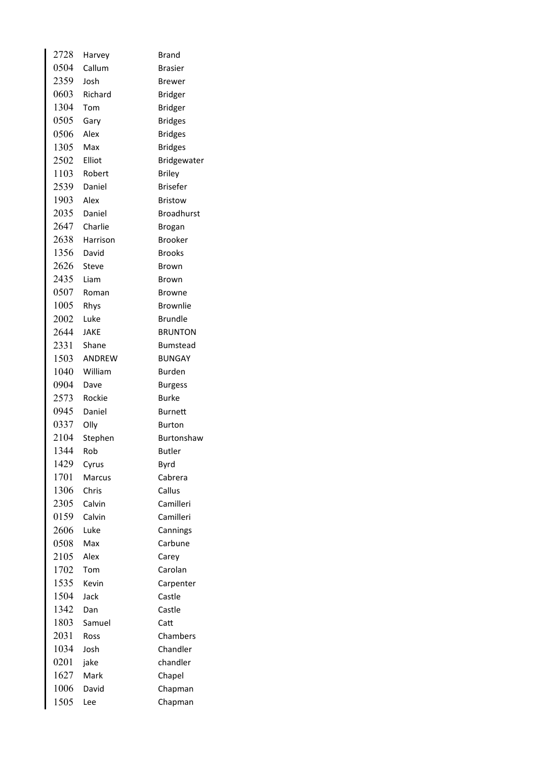| 2728 | Harvey       | <b>Brand</b>      |
|------|--------------|-------------------|
| 0504 | Callum       | <b>Brasier</b>    |
| 2359 | Josh         | Brewer            |
| 0603 | Richard      | <b>Bridger</b>    |
| 1304 | Tom          | <b>Bridger</b>    |
| 0505 | Gary         | <b>Bridges</b>    |
| 0506 | Alex         | <b>Bridges</b>    |
| 1305 | Max          | <b>Bridges</b>    |
| 2502 | Elliot       | Bridgewater       |
| 1103 | Robert       | <b>Briley</b>     |
| 2539 | Daniel       | <b>Brisefer</b>   |
| 1903 | Alex         | <b>Bristow</b>    |
| 2035 | Daniel       | <b>Broadhurst</b> |
| 2647 | Charlie      | <b>Brogan</b>     |
| 2638 | Harrison     | <b>Brooker</b>    |
| 1356 | David        | <b>Brooks</b>     |
| 2626 | <b>Steve</b> | Brown             |
| 2435 | Liam         | <b>Brown</b>      |
| 0507 | Roman        | <b>Browne</b>     |
| 1005 | Rhys         | <b>Brownlie</b>   |
| 2002 | Luke         | <b>Brundle</b>    |
| 2644 | JAKE         | <b>BRUNTON</b>    |
| 2331 | Shane        | <b>Bumstead</b>   |
| 1503 | ANDREW       | <b>BUNGAY</b>     |
| 1040 | William      | <b>Burden</b>     |
| 0904 | Dave         | <b>Burgess</b>    |
| 2573 | Rockie       | <b>Burke</b>      |
| 0945 | Daniel       | <b>Burnett</b>    |
| 0337 | Olly         | <b>Burton</b>     |
| 2104 | Stephen      | Burtonshaw        |
| 1344 | Rob          | <b>Butler</b>     |
| 1429 | Cyrus        | Byrd              |
| 1701 | Marcus       | Cabrera           |
| 1306 | Chris        | Callus            |
| 2305 | Calvin       | Camilleri         |
| 0159 | Calvin       | Camilleri         |
| 2606 | Luke         | Cannings          |
| 0508 | Max          | Carbune           |
| 2105 | Alex         | Carey             |
| 1702 | Tom          | Carolan           |
| 1535 | Kevin        | Carpenter         |
| 1504 | Jack         | Castle            |
| 1342 | Dan          | Castle            |
| 1803 | Samuel       | Catt              |
| 2031 | Ross         | Chambers          |
| 1034 | Josh         | Chandler          |
| 0201 | jake         | chandler          |
| 1627 | Mark         | Chapel            |
| 1006 | David        | Chapman           |
| 1505 | Lee          | Chapman           |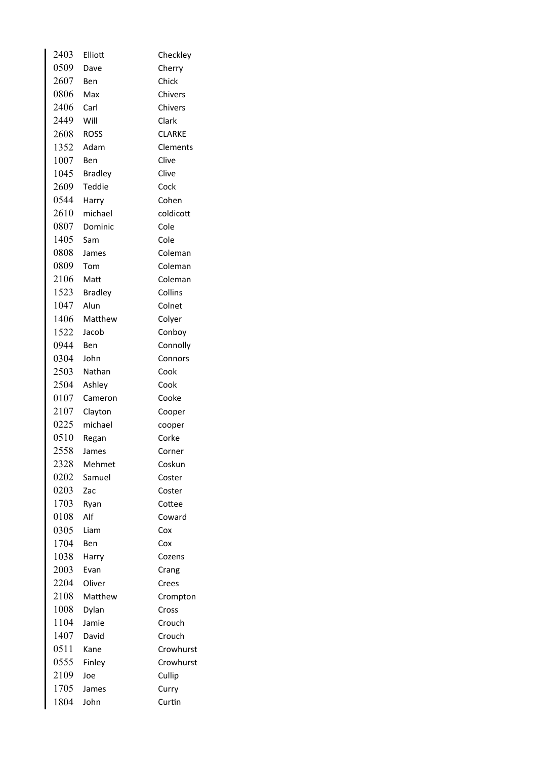| 2403 | Elliott        | Checkley      |
|------|----------------|---------------|
| 0509 | Dave           | Cherry        |
| 2607 | Ben            | Chick         |
| 0806 | Max            | Chivers       |
| 2406 | Carl           | Chivers       |
| 2449 | Will           | Clark         |
| 2608 | <b>ROSS</b>    | <b>CLARKE</b> |
| 1352 | Adam           | Clements      |
| 1007 | Ben            | Clive         |
| 1045 | <b>Bradley</b> | Clive         |
| 2609 | Teddie         | Cock          |
| 0544 | Harry          | Cohen         |
| 2610 | michael        | coldicott     |
| 0807 | Dominic        | Cole          |
| 1405 | Sam            | Cole          |
| 0808 | James          | Coleman       |
| 0809 | Tom            | Coleman       |
| 2106 | Matt           | Coleman       |
| 1523 | <b>Bradley</b> | Collins       |
| 1047 | Alun           | Colnet        |
| 1406 | Matthew        | Colyer        |
| 1522 | Jacob          | Conboy        |
| 0944 | Ben            | Connolly      |
| 0304 | John           | Connors       |
| 2503 | Nathan         | Cook          |
| 2504 | Ashley         | Cook          |
| 0107 | Cameron        | Cooke         |
| 2107 | Clayton        | Cooper        |
| 0225 | michael        | cooper        |
| 0510 | Regan          | Corke         |
| 2558 | James          | Corner        |
| 2328 | Mehmet         | Coskun        |
| 0202 | Samuel         | Coster        |
| 0203 | Zac            | Coster        |
| 1703 | Ryan           | Cottee        |
| 0108 | Alf            | Coward        |
| 0305 | Liam           | Cox           |
| 1704 | Ben            | Cox           |
| 1038 | Harry          | Cozens        |
| 2003 | Evan           | Crang         |
| 2204 | Oliver         | Crees         |
| 2108 | Matthew        | Crompton      |
| 1008 | Dylan          | Cross         |
| 1104 | Jamie          | Crouch        |
| 1407 | David          | Crouch        |
| 0511 | Kane           | Crowhurst     |
| 0555 | Finley         | Crowhurst     |
| 2109 | Joe            | Cullip        |
| 1705 | James          | Curry         |
| 1804 | John           | Curtin        |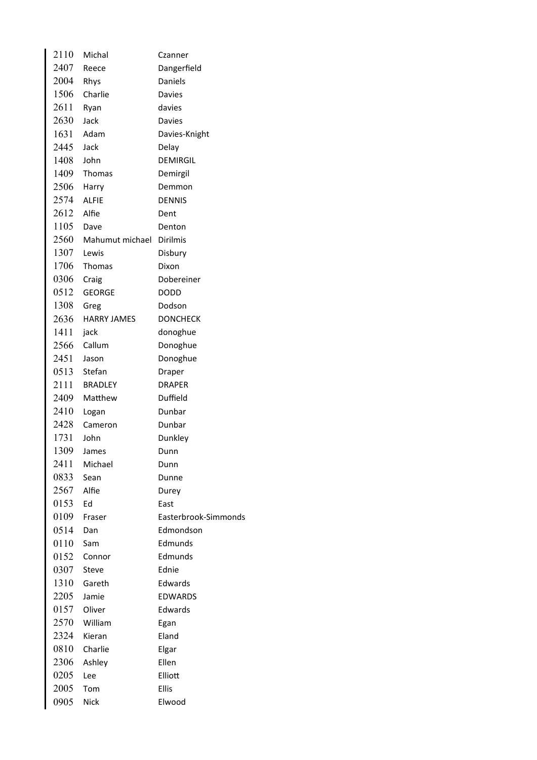| 2110         | Michal                   | Czanner              |
|--------------|--------------------------|----------------------|
| 2407         | Reece                    | Dangerfield          |
| 2004 Rhys    |                          | Daniels              |
| 1506         | Charlie                  | Davies               |
| 2611         | Ryan                     | davies               |
| 2630         | Jack                     | <b>Davies</b>        |
|              | 1631 Adam                | Davies-Knight        |
| 2445         | Jack                     | Delay                |
| 1408         | John                     | <b>DEMIRGIL</b>      |
| 1409         | Thomas                   | Demirgil             |
| $2506$ Harry |                          | Demmon               |
| 2574         | <b>ALFIE</b>             | <b>DENNIS</b>        |
| 2612         | Alfie                    | Dent                 |
| 1105         | Dave                     | Denton               |
| 2560         | Mahumut michael Dirilmis |                      |
| 1307         | Lewis                    | Disbury              |
| 1706         | Thomas                   | Dixon                |
| 0306         | Craig                    | Dobereiner           |
| 0512         | <b>GEORGE</b>            | DODD                 |
| 1308         | Greg                     | Dodson               |
| 2636         | <b>HARRY JAMES</b>       | <b>DONCHECK</b>      |
| 1411         | jack                     | donoghue             |
| 2566         | Callum                   | Donoghue             |
| 2451         | Jason                    | Donoghue             |
|              | 0513 Stefan              | Draper               |
|              | 2111 BRADLEY             | <b>DRAPER</b>        |
| 2409         | Matthew                  | Duffield             |
| 2410         | Logan                    | Dunbar               |
| 2428         | Cameron                  | Dunbar               |
| 1731         | John                     | Dunkley              |
| 1309         | James                    | Dunn                 |
| 2411         | Michael                  | Dunn                 |
| 0833         | Sean                     | Dunne                |
| 2567         | Alfie                    | Durey                |
| 0153         | Ed                       | East                 |
| 0109         | Fraser                   | Easterbrook-Simmonds |
| 0514         | Dan                      | Edmondson            |
| 0110         | Sam                      | Edmunds              |
| 0152         | Connor                   | Edmunds              |
| 0307         | Steve                    | Ednie                |
| 1310         | Gareth                   | Edwards              |
| 2205         | Jamie                    | <b>EDWARDS</b>       |
| 0157         | Oliver                   | Edwards              |
| 2570         | William                  | Egan                 |
| 2324         | Kieran                   | Eland                |
| 0810         | Charlie                  | Elgar                |
| 2306         | Ashley                   | Ellen                |
| 0205         | Lee                      | Elliott              |
| 2005         | Tom                      | <b>Ellis</b>         |
| 0905         | <b>Nick</b>              | Elwood               |
|              |                          |                      |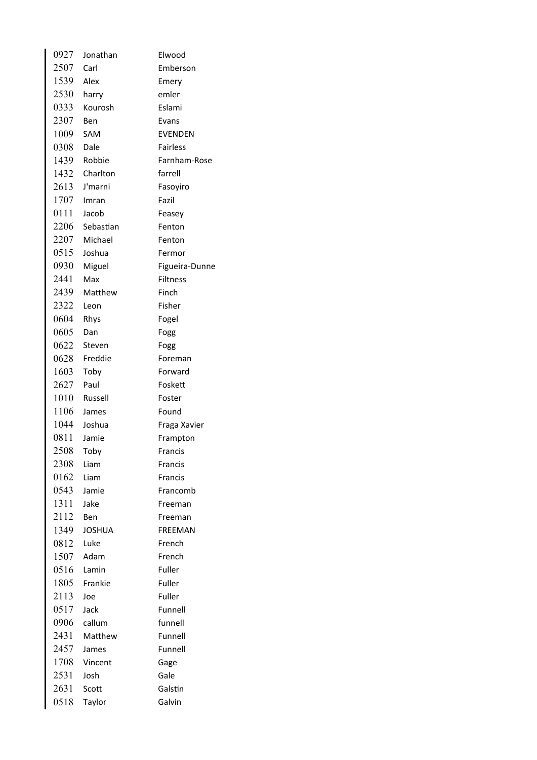| 0927 | Jonathan  | Elwood          |
|------|-----------|-----------------|
| 2507 | Carl      | Emberson        |
| 1539 | Alex      | Emery           |
| 2530 | harry     | emler           |
| 0333 | Kourosh   | Eslami          |
| 2307 | Ben       | Evans           |
| 1009 | SAM       | <b>EVENDEN</b>  |
| 0308 | Dale      | <b>Fairless</b> |
| 1439 | Robbie    | Farnham-Rose    |
| 1432 | Charlton  | farrell         |
| 2613 | J'marni   | Fasoyiro        |
| 1707 | Imran     | Fazil           |
| 0111 | Jacob     | Feasey          |
| 2206 | Sebastian | Fenton          |
| 2207 | Michael   | Fenton          |
| 0515 | Joshua    | Fermor          |
| 0930 | Miguel    | Figueira-Dunne  |
| 2441 | Max       | <b>Filtness</b> |
| 2439 | Matthew   | Finch           |
| 2322 | Leon      | Fisher          |
| 0604 | Rhys      | Fogel           |
| 0605 | Dan       | Fogg            |
| 0622 | Steven    | Fogg            |
| 0628 | Freddie   | Foreman         |
| 1603 | Toby      | Forward         |
| 2627 | Paul      | Foskett         |
| 1010 | Russell   | Foster          |
| 1106 | James     | Found           |
| 1044 | Joshua    | Fraga Xavier    |
| 0811 | Jamie     | Frampton        |
| 2508 | Toby      | <b>Francis</b>  |
| 2308 | Liam      | <b>Francis</b>  |
| 0162 | Liam      | Francis         |
| 0543 | Jamie     | Francomb        |
| 1311 | Jake      | Freeman         |
| 2112 | Ben       | Freeman         |
| 1349 | JOSHUA    | <b>FREEMAN</b>  |
| 0812 | Luke      | French          |
| 1507 | Adam      | French          |
| 0516 | Lamin     | Fuller          |
| 1805 | Frankie   | Fuller          |
| 2113 | Joe       | Fuller          |
| 0517 | Jack      | Funnell         |
| 0906 | callum    | funnell         |
| 2431 | Matthew   | Funnell         |
| 2457 | James     | Funnell         |
| 1708 | Vincent   | Gage            |
| 2531 | Josh      | Gale            |
| 2631 | Scott     | Galstin         |
| 0518 | Taylor    | Galvin          |
|      |           |                 |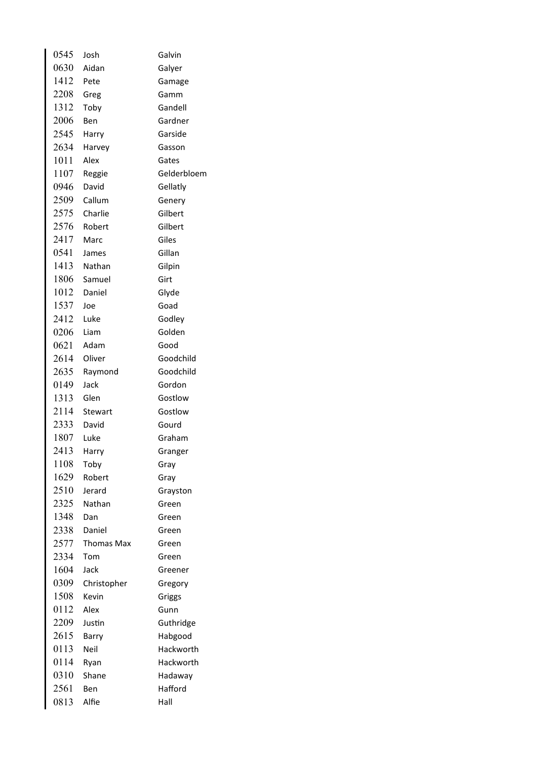| 0545 | Josh        | Galvin      |
|------|-------------|-------------|
| 0630 | Aidan       | Galyer      |
| 1412 | Pete        | Gamage      |
| 2208 | Greg        | Gamm        |
| 1312 | Toby        | Gandell     |
| 2006 | Ben         | Gardner     |
| 2545 | Harry       | Garside     |
| 2634 | Harvey      | Gasson      |
| 1011 | Alex        | Gates       |
| 1107 | Reggie      | Gelderbloem |
| 0946 | David       | Gellatly    |
| 2509 | Callum      | Genery      |
| 2575 | Charlie     | Gilbert     |
| 2576 | Robert      | Gilbert     |
| 2417 | Marc        | Giles       |
| 0541 | James       | Gillan      |
|      | 1413 Nathan | Gilpin      |
| 1806 | Samuel      | Girt        |
| 1012 | Daniel      | Glyde       |
| 1537 | Joe         | Goad        |
| 2412 | Luke        | Godley      |
| 0206 | Liam        | Golden      |
| 0621 | Adam        | Good        |
| 2614 | Oliver      | Goodchild   |
| 2635 | Raymond     | Goodchild   |
| 0149 | Jack        | Gordon      |
| 1313 | Glen        | Gostlow     |
| 2114 | Stewart     | Gostlow     |
| 2333 | David       | Gourd       |
| 1807 | Luke        | Graham      |
| 2413 | Harry       | Granger     |
| 1108 | Toby        | Gray        |
| 1629 | Robert      | Gray        |
| 2510 | Jerard      | Grayston    |
| 2325 | Nathan      | Green       |
| 1348 | Dan         | Green       |
| 2338 | Daniel      | Green       |
| 2577 | Thomas Max  | Green       |
| 2334 | Tom         | Green       |
| 1604 | Jack        | Greener     |
| 0309 | Christopher | Gregory     |
| 1508 | Kevin       | Griggs      |
| 0112 | Alex        | Gunn        |
| 2209 | Justin      | Guthridge   |
| 2615 | Barry       | Habgood     |
| 0113 | Neil        | Hackworth   |
| 0114 | Ryan        | Hackworth   |
| 0310 | Shane       | Hadaway     |
| 2561 | Ben         | Hafford     |
| 0813 | Alfie       | Hall        |
|      |             |             |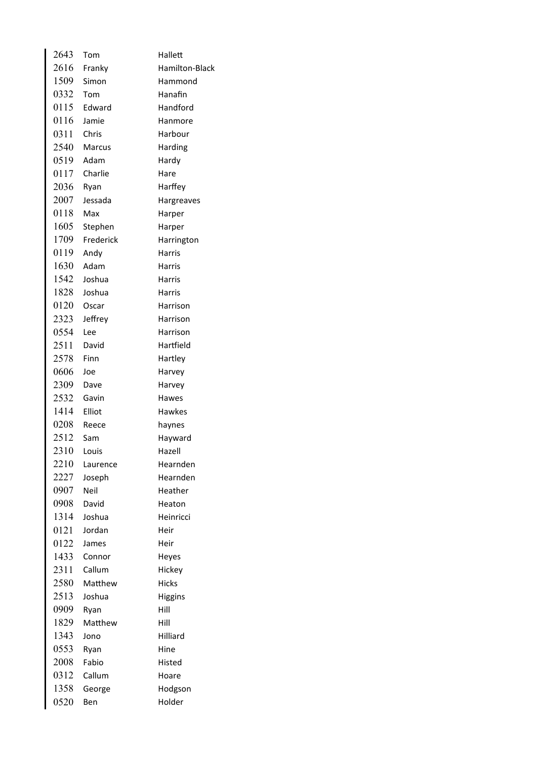| 2643 | Tom           | Hallett        |
|------|---------------|----------------|
| 2616 | Franky        | Hamilton-Black |
| 1509 | Simon         | Hammond        |
| 0332 | Tom           | Hanafin        |
| 0115 | Edward        | Handford       |
| 0116 | Jamie         | Hanmore        |
| 0311 | Chris         | Harbour        |
| 2540 | <b>Marcus</b> | Harding        |
| 0519 | Adam          | Hardy          |
| 0117 | Charlie       | Hare           |
| 2036 | Ryan          | Harffey        |
| 2007 | Jessada       | Hargreaves     |
| 0118 | Max           | Harper         |
| 1605 | Stephen       | Harper         |
| 1709 | Frederick     | Harrington     |
| 0119 | Andy          | Harris         |
| 1630 | Adam          | Harris         |
| 1542 | Joshua        | Harris         |
| 1828 | Joshua        | <b>Harris</b>  |
| 0120 | Oscar         | Harrison       |
| 2323 | Jeffrey       | Harrison       |
| 0554 | Lee           | Harrison       |
| 2511 | David         | Hartfield      |
| 2578 | Finn          | Hartley        |
| 0606 | Joe           | Harvey         |
| 2309 | Dave          | Harvey         |
| 2532 | Gavin         | Hawes          |
| 1414 | Elliot        | Hawkes         |
| 0208 | Reece         | haynes         |
| 2512 | Sam           | Hayward        |
| 2310 | Louis         | Hazell         |
| 2210 | Laurence      | Hearnden       |
| 2227 | Joseph        | Hearnden       |
| 0907 | Neil          | Heather        |
| 0908 | David         | Heaton         |
| 1314 | Joshua        | Heinricci      |
| 0121 | Jordan        | Heir           |
| 0122 | James         | Heir           |
| 1433 | Connor        | Heyes          |
| 2311 | Callum        | Hickey         |
| 2580 | Matthew       | <b>Hicks</b>   |
| 2513 | Joshua        | Higgins        |
| 0909 | Ryan          | Hill           |
| 1829 | Matthew       | Hill           |
| 1343 | Jono          | Hilliard       |
| 0553 | Ryan          | Hine           |
| 2008 | Fabio         | Histed         |
| 0312 | Callum        | Hoare          |
| 1358 | George        | Hodgson        |
| 0520 | Ben           | Holder         |
|      |               |                |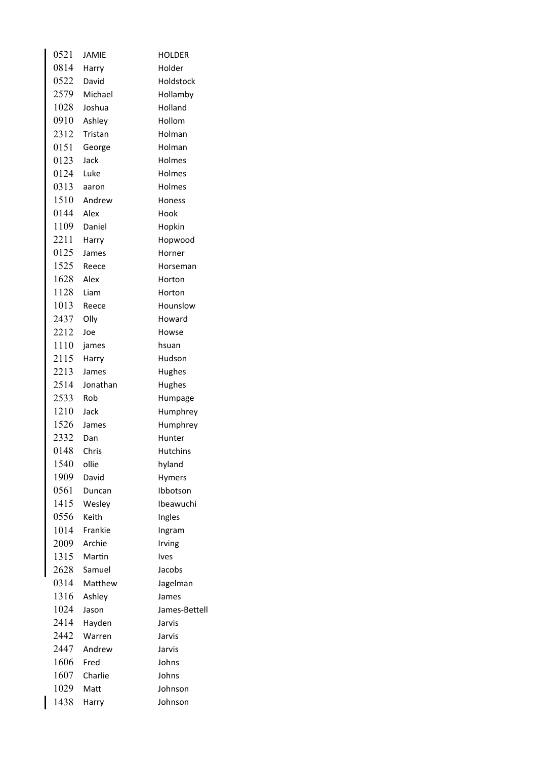| 0521 | <b>JAMIE</b> | <b>HOLDER</b>   |
|------|--------------|-----------------|
| 0814 | Harry        | Holder          |
| 0522 | David        | Holdstock       |
| 2579 | Michael      | Hollamby        |
| 1028 | Joshua       | Holland         |
| 0910 | Ashley       | Hollom          |
| 2312 | Tristan      | Holman          |
| 0151 | George       | Holman          |
| 0123 | Jack         | Holmes          |
| 0124 | Luke         | Holmes          |
| 0313 | aaron        | Holmes          |
| 1510 | Andrew       | Honess          |
| 0144 | Alex         | Hook            |
| 1109 | Daniel       | Hopkin          |
| 2211 | Harry        | Hopwood         |
| 0125 | James        | Horner          |
| 1525 | Reece        | Horseman        |
| 1628 | Alex         | Horton          |
| 1128 | Liam         | Horton          |
| 1013 | Reece        | Hounslow        |
| 2437 | Olly         | Howard          |
| 2212 | Joe          | Howse           |
| 1110 | james        | hsuan           |
| 2115 | Harry        | Hudson          |
| 2213 | James        | Hughes          |
| 2514 | Jonathan     | Hughes          |
| 2533 | Rob          | Humpage         |
| 1210 | Jack         | Humphrey        |
| 1526 | James        | Humphrey        |
| 2332 | Dan          | Hunter          |
| 0148 | Chris        | <b>Hutchins</b> |
| 1540 | ollie        | hyland          |
| 1909 | David        | <b>Hymers</b>   |
| 0561 | Duncan       | Ibbotson        |
| 1415 | Wesley       | Ibeawuchi       |
| 0556 | Keith        | Ingles          |
| 1014 | Frankie      | Ingram          |
| 2009 | Archie       | Irving          |
| 1315 | Martin       | Ives            |
| 2628 | Samuel       | Jacobs          |
| 0314 | Matthew      | Jagelman        |
| 1316 | Ashley       | James           |
| 1024 | Jason        | James-Bettell   |
| 2414 | Hayden       | Jarvis          |
| 2442 | Warren       | Jarvis          |
| 2447 | Andrew       | Jarvis          |
| 1606 | Fred         | Johns           |
| 1607 | Charlie      | Johns           |
| 1029 | Matt         | Johnson         |
| 1438 | Harry        | Johnson         |

 $\overline{\mathsf{I}}$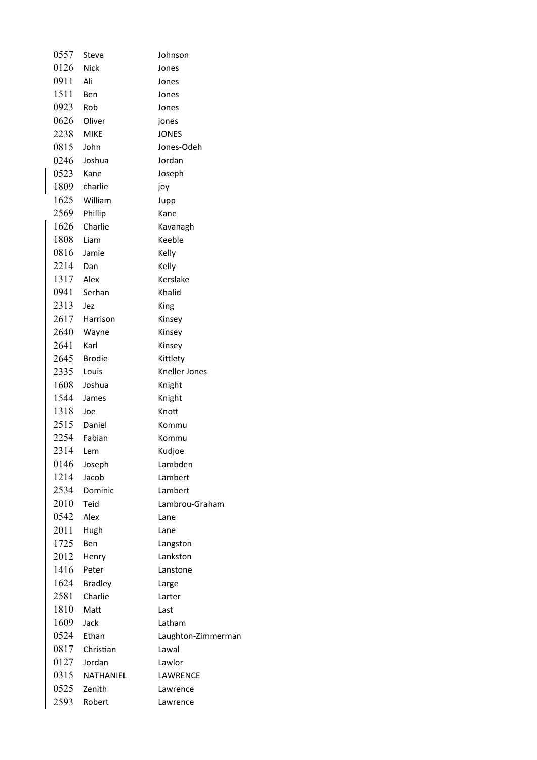| 0557      | <b>Steve</b>   | Johnson              |
|-----------|----------------|----------------------|
| 0126 Nick |                | Jones                |
| 0911      | Ali            | Jones                |
| 1511      | Ben            | Jones                |
| 0923      | Rob            | Jones                |
| 0626      | Oliver         | jones                |
| 2238      | <b>MIKE</b>    | <b>JONES</b>         |
| 0815      | John           | Jones-Odeh           |
| 0246      | Joshua         | Jordan               |
| 0523      | Kane           | Joseph               |
|           | 1809 charlie   | joy                  |
|           | 1625 William   | Jupp                 |
| 2569      | Phillip        | Kane                 |
| 1626      | Charlie        | Kavanagh             |
| 1808      | Liam           | Keeble               |
| 0816      | Jamie          | Kelly                |
| 2214      | Dan            | Kelly                |
| 1317      | Alex           | Kerslake             |
| 0941      | Serhan         | Khalid               |
| 2313      | Jez            | King                 |
| 2617      | Harrison       | Kinsey               |
| 2640      | Wayne          | Kinsey               |
| 2641      | Karl           | Kinsey               |
| 2645      | <b>Brodie</b>  | Kittlety             |
| 2335      | Louis          | <b>Kneller Jones</b> |
| 1608      | Joshua         | Knight               |
| 1544      | James          | Knight               |
| 1318      | Joe            | Knott                |
|           | 2515 Daniel    | Kommu                |
|           | 2254 Fabian    | Kommu                |
| 2314 Lem  |                | Kudjoe               |
| 0146      | Joseph         | Lambden              |
| 1214      | Jacob          | Lambert              |
| 2534      | Dominic        | Lambert              |
| 2010      | Teid           | Lambrou-Graham       |
| 0542      | Alex           | Lane                 |
| 2011      | Hugh           | Lane                 |
| 1725      | Ben            | Langston             |
| 2012      | Henry          | Lankston             |
| 1416      | Peter          | Lanstone             |
| 1624      | <b>Bradley</b> | Large                |
| 2581      | Charlie        | Larter               |
| 1810      | Matt           | Last                 |
| 1609      | Jack           | Latham               |
| 0524      | Ethan          | Laughton-Zimmerman   |
| 0817      | Christian      | Lawal                |
| 0127      | Jordan         | Lawlor               |
| 0315      | NATHANIEL      | LAWRENCE             |
| 0525      | Zenith         | Lawrence             |
| 2593      | Robert         | Lawrence             |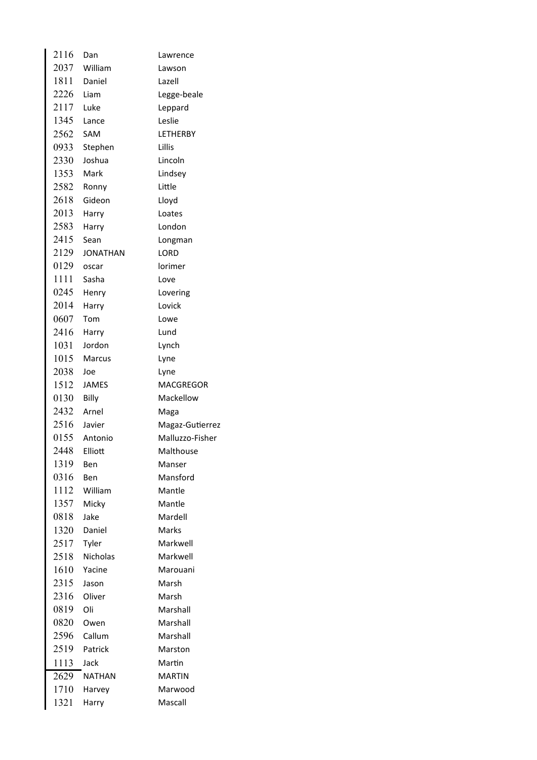| 2116 | Dan             | Lawrence        |
|------|-----------------|-----------------|
| 2037 | William         | Lawson          |
| 1811 | Daniel          | Lazell          |
| 2226 | Liam            | Legge-beale     |
| 2117 | Luke            | Leppard         |
| 1345 | Lance           | Leslie          |
| 2562 | <b>SAM</b>      | <b>LETHERBY</b> |
| 0933 | Stephen         | Lillis          |
| 2330 | Joshua          | Lincoln         |
| 1353 | Mark            | Lindsey         |
| 2582 | Ronny           | Little          |
| 2618 | Gideon          | Lloyd           |
| 2013 | Harry           | Loates          |
| 2583 | Harry           | London          |
| 2415 | Sean            | Longman         |
| 2129 | <b>JONATHAN</b> | <b>LORD</b>     |
| 0129 | oscar           | lorimer         |
| 1111 | Sasha           | Love            |
| 0245 | Henry           | Lovering        |
| 2014 | Harry           | Lovick          |
| 0607 | Tom             | Lowe            |
| 2416 | Harry           | Lund            |
| 1031 | Jordon          | Lynch           |
| 1015 | <b>Marcus</b>   | Lyne            |
| 2038 | Joe             | Lyne            |
| 1512 | <b>JAMES</b>    | MACGREGOR       |
| 0130 | Billy           | Mackellow       |
| 2432 | Arnel           | Maga            |
| 2516 | Javier          | Magaz-Gutierrez |
|      | 0155 Antonio    | Malluzzo-Fisher |
| 2448 | Elliott         | Malthouse       |
| 1319 | Ben             | Manser          |
| 0316 | Ben             | Mansford        |
| 1112 | William         | Mantle          |
| 1357 | Micky           | Mantle          |
| 0818 | Jake            | Mardell         |
| 1320 | Daniel          | Marks           |
| 2517 | Tyler           | Markwell        |
| 2518 | Nicholas        | Markwell        |
| 1610 | Yacine          | Marouani        |
| 2315 | Jason           | Marsh           |
| 2316 | Oliver          | Marsh           |
| 0819 | Oli             | Marshall        |
| 0820 | Owen            | Marshall        |
| 2596 | Callum          | Marshall        |
| 2519 | Patrick         | Marston         |
| 1113 | Jack            | Martin          |
| 2629 | NATHAN          | MARTIN          |
| 1710 | Harvey          | Marwood         |
| 1321 | Harry           | Mascall         |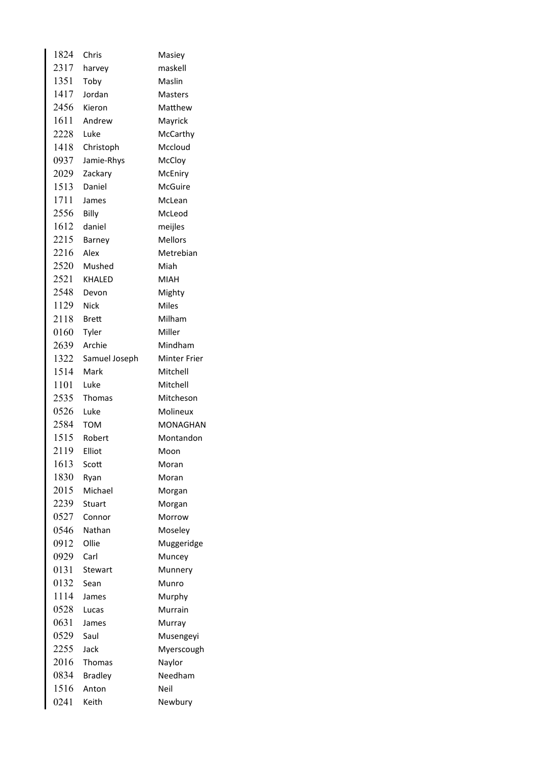| 1824 | Chris          | Masiey              |
|------|----------------|---------------------|
| 2317 | harvey         | maskell             |
| 1351 | Toby           | Maslin              |
| 1417 | Jordan         | Masters             |
| 2456 | Kieron         | Matthew             |
| 1611 | Andrew         | Mayrick             |
| 2228 | Luke           | McCarthy            |
| 1418 | Christoph      | Mccloud             |
| 0937 | Jamie-Rhys     | McCloy              |
| 2029 | Zackary        | McEniry             |
| 1513 | Daniel         | McGuire             |
| 1711 | James          | McLean              |
| 2556 | Billy          | McLeod              |
| 1612 | daniel         | meijles             |
| 2215 | Barney         | <b>Mellors</b>      |
| 2216 | Alex           | Metrebian           |
| 2520 | Mushed         | Miah                |
| 2521 | <b>KHALED</b>  | <b>MIAH</b>         |
| 2548 | Devon          | Mighty              |
| 1129 | <b>Nick</b>    | <b>Miles</b>        |
| 2118 | Brett          | Milham              |
| 0160 | Tyler          | Miller              |
| 2639 | Archie         | Mindham             |
| 1322 | Samuel Joseph  | <b>Minter Frier</b> |
| 1514 | Mark           | Mitchell            |
| 1101 | Luke           | Mitchell            |
| 2535 | Thomas         | Mitcheson           |
| 0526 | Luke           | Molineux            |
| 2584 | <b>TOM</b>     | MONAGHAN            |
| 1515 | Robert         | Montandon           |
| 2119 | Elliot         | Moon                |
| 1613 | Scott          | Moran               |
| 1830 | Ryan           | Moran               |
| 2015 | Michael        | Morgan              |
| 2239 | <b>Stuart</b>  | Morgan              |
| 0527 | Connor         | Morrow              |
| 0546 | Nathan         | Moseley             |
| 0912 | Ollie          | Muggeridge          |
| 0929 | Carl           | Muncey              |
| 0131 | Stewart        | Munnery             |
| 0132 | Sean           | Munro               |
| 1114 | James          | Murphy              |
| 0528 | Lucas          | Murrain             |
| 0631 | James          | Murray              |
| 0529 | Saul           | Musengeyi           |
| 2255 | Jack           | Myerscough          |
| 2016 | Thomas         | Naylor              |
| 0834 | <b>Bradley</b> | Needham             |
| 1516 | Anton          | Neil                |
| 0241 | Keith          | Newbury             |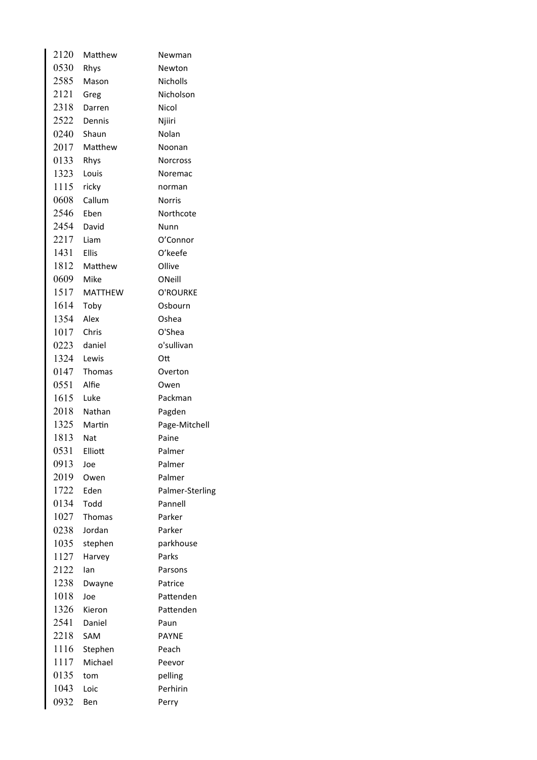| 2120       | Matthew        | Newman          |
|------------|----------------|-----------------|
| 0530       | Rhys           | Newton          |
| 2585       | Mason          | <b>Nicholls</b> |
| 2121       | Greg           | Nicholson       |
| 2318       | Darren         | Nicol           |
| 2522       | Dennis         | Njiiri          |
|            | 0240 Shaun     | Nolan           |
|            | 2017 Matthew   | Noonan          |
| 0133       | Rhys           | <b>Norcross</b> |
| 1323       | Louis          | Noremac         |
| 1115       | ricky          | norman          |
| 0608       | Callum         | <b>Norris</b>   |
| 2546       | Eben           | Northcote       |
| 2454       | David          | Nunn            |
| 2217       | <b>Liam</b>    | O'Connor        |
| 1431 Ellis |                | O'keefe         |
|            | 1812 Matthew   | Ollive          |
| 0609 Mike  |                | ONeill          |
| 1517       | <b>MATTHEW</b> | O'ROURKE        |
| 1614       | Toby           | Osbourn         |
| 1354       | Alex           | Oshea           |
| 1017       | Chris          | O'Shea          |
| 0223       | daniel         | o'sullivan      |
| 1324       | Lewis          | Ott             |
| 0147       | Thomas         | Overton         |
| 0551       | Alfie          | Owen            |
| 1615 Luke  |                | Packman         |
| 2018       | Nathan         | Pagden          |
| 1325       | Martin         | Page-Mitchell   |
| 1813 Nat   |                | Paine           |
| 0531       | Elliott        | Palmer          |
| 0913       | Joe            | Palmer          |
| 2019       | Owen           | Palmer          |
| 1722       | Eden           | Palmer-Sterling |
| 0134       | Todd           | Pannell         |
| 1027       | <b>Thomas</b>  | Parker          |
| 0238       | Jordan         | Parker          |
| 1035       | stephen        | parkhouse       |
| 1127       | Harvey         | Parks           |
| 2122       | lan            | Parsons         |
| 1238       | Dwayne         | Patrice         |
| 1018       | Joe            | Pattenden       |
| 1326       | Kieron         | Pattenden       |
| 2541       | Daniel         | Paun            |
| 2218       | SAM            | <b>PAYNE</b>    |
| 1116       | Stephen        | Peach           |
| 1117       | Michael        | Peevor          |
| 0135       | tom            | pelling         |
| 1043       | Loic           | Perhirin        |
| 0932       | Ben            | Perry           |
|            |                |                 |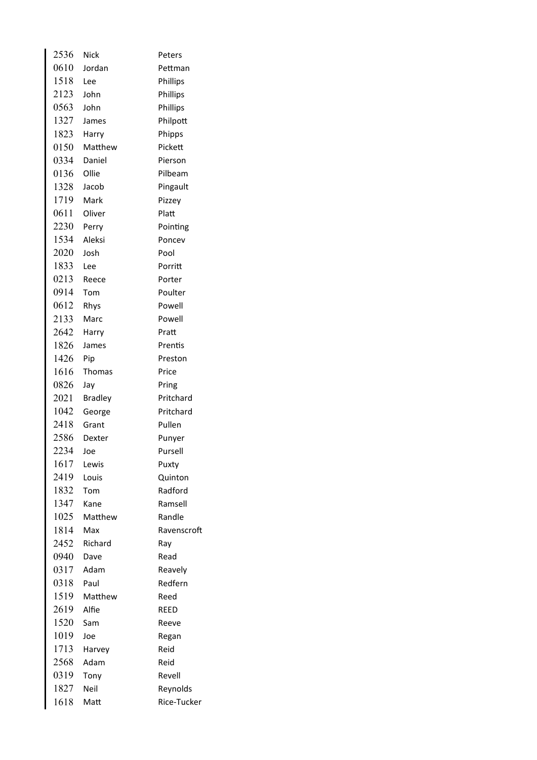| 2536 | <b>Nick</b>    | Peters      |
|------|----------------|-------------|
| 0610 | Jordan         | Pettman     |
| 1518 | Lee            | Phillips    |
| 2123 | John           | Phillips    |
| 0563 | John           | Phillips    |
| 1327 | James          | Philpott    |
| 1823 | Harry          | Phipps      |
| 0150 | Matthew        | Pickett     |
| 0334 | Daniel         | Pierson     |
| 0136 | Ollie          | Pilbeam     |
| 1328 | Jacob          | Pingault    |
| 1719 | Mark           | Pizzey      |
| 0611 | Oliver         | Platt       |
| 2230 | Perry          | Pointing    |
| 1534 | Aleksi         | Poncev      |
| 2020 | Josh           | Pool        |
| 1833 | Lee            | Porritt     |
| 0213 | Reece          | Porter      |
| 0914 | Tom            | Poulter     |
| 0612 | Rhys           | Powell      |
| 2133 | Marc           | Powell      |
| 2642 | Harry          | Pratt       |
| 1826 | James          | Prentis     |
| 1426 | Pip            | Preston     |
| 1616 | <b>Thomas</b>  | Price       |
| 0826 | Jay            | Pring       |
| 2021 | <b>Bradley</b> | Pritchard   |
| 1042 | George         | Pritchard   |
| 2418 | Grant          | Pullen      |
| 2586 | Dexter         | Punyer      |
| 2234 | Joe            | Pursell     |
| 1617 | Lewis          | Puxty       |
| 2419 | Louis          | Quinton     |
| 1832 | Tom            | Radford     |
| 1347 | Kane           | Ramsell     |
| 1025 | Matthew        | Randle      |
| 1814 | Max            | Ravenscroft |
| 2452 | Richard        | Ray         |
| 0940 | Dave           | Read        |
| 0317 | Adam           | Reavely     |
| 0318 | Paul           | Redfern     |
| 1519 | Matthew        | Reed        |
| 2619 | Alfie          | <b>REED</b> |
| 1520 | Sam            | Reeve       |
| 1019 | Joe            | Regan       |
| 1713 | Harvey         | Reid        |
| 2568 | Adam           | Reid        |
| 0319 | Tony           | Revell      |
| 1827 | Neil           | Reynolds    |
| 1618 | Matt           | Rice-Tucker |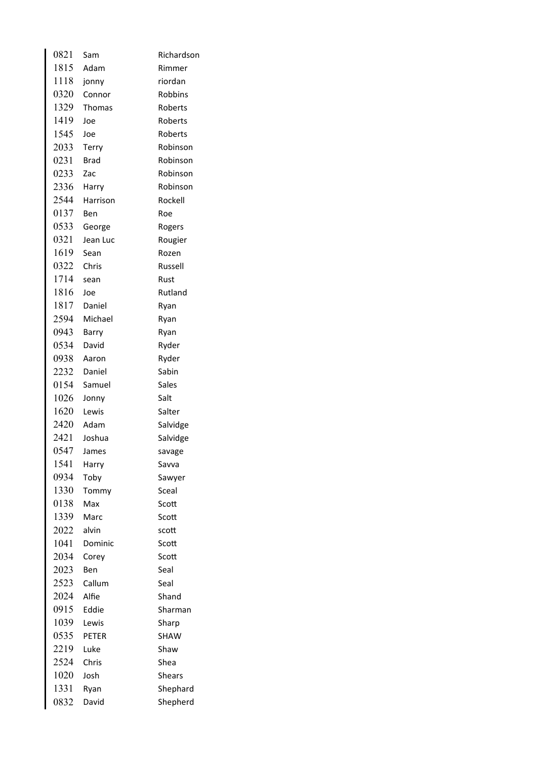| 0821 | Sam          | Richardson    |
|------|--------------|---------------|
| 1815 | Adam         | Rimmer        |
| 1118 | jonny        | riordan       |
| 0320 | Connor       | Robbins       |
| 1329 | Thomas       | Roberts       |
| 1419 | Joe          | Roberts       |
| 1545 | Joe          | Roberts       |
| 2033 | <b>Terry</b> | Robinson      |
| 0231 | <b>Brad</b>  | Robinson      |
| 0233 | Zac          | Robinson      |
| 2336 | Harry        | Robinson      |
| 2544 | Harrison     | Rockell       |
| 0137 | Ben          | Roe           |
| 0533 | George       | Rogers        |
| 0321 | Jean Luc     | Rougier       |
| 1619 | Sean         | Rozen         |
| 0322 | Chris        | Russell       |
| 1714 | sean         | Rust          |
| 1816 | Joe          | Rutland       |
| 1817 | Daniel       | Ryan          |
| 2594 | Michael      | Ryan          |
| 0943 | Barry        | Ryan          |
| 0534 | David        | Ryder         |
| 0938 | Aaron        | Ryder         |
| 2232 | Daniel       | Sabin         |
| 0154 | Samuel       | Sales         |
| 1026 | Jonny        | Salt          |
| 1620 | Lewis        | Salter        |
| 2420 | Adam         | Salvidge      |
| 2421 | Joshua       | Salvidge      |
| 0547 | James        | savage        |
| 1541 | Harry        | Savva         |
| 0934 | Toby         | Sawyer        |
| 1330 | Tommy        | Sceal         |
| 0138 | Max          | Scott         |
| 1339 | Marc         | Scott         |
| 2022 | alvin        | scott         |
| 1041 | Dominic      | Scott         |
| 2034 | Corey        | Scott         |
| 2023 | Ben          | Seal          |
| 2523 | Callum       | Seal          |
| 2024 | Alfie        | Shand         |
| 0915 | Eddie        | Sharman       |
| 1039 | Lewis        | Sharp         |
| 0535 | <b>PETER</b> | <b>SHAW</b>   |
| 2219 | Luke         | Shaw          |
| 2524 | Chris        | Shea          |
| 1020 | Josh         | <b>Shears</b> |
| 1331 | Ryan         | Shephard      |
| 0832 | David        | Shepherd      |
|      |              |               |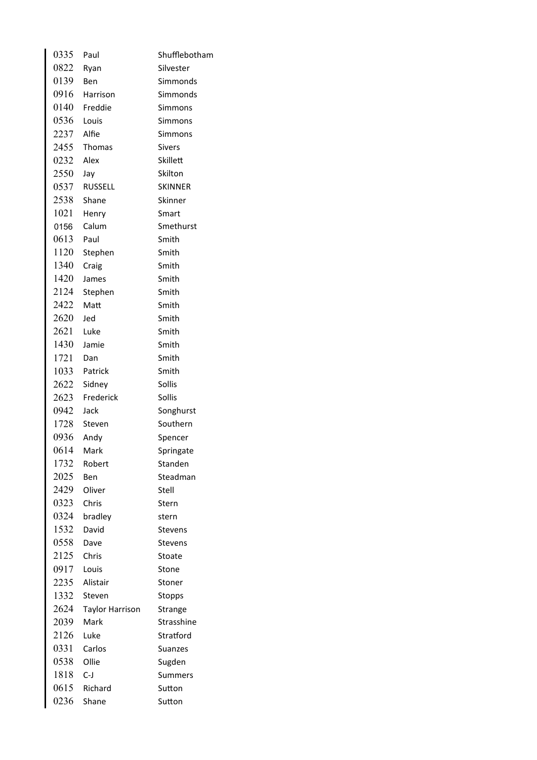| 0335       | Paul                   | Shufflebotham  |
|------------|------------------------|----------------|
| 0822       | Ryan                   | Silvester      |
| 0139       | <b>Ben</b>             | Simmonds       |
| 0916       | Harrison               | Simmonds       |
| 0140       | Freddie                | Simmons        |
| 0536       | Louis                  | Simmons        |
| 2237 Alfie |                        | Simmons        |
|            | 2455 Thomas            | <b>Sivers</b>  |
| 0232 Alex  |                        | Skillett       |
| 2550       | Jay                    | Skilton        |
|            | 0537 RUSSELL           | <b>SKINNER</b> |
| 2538       | Shane                  | Skinner        |
| 1021       | Henry                  | Smart          |
| 0156       | Calum                  | Smethurst      |
| 0613       | Paul                   | Smith          |
| 1120       | Stephen                | Smith          |
| 1340       | Craig                  | Smith          |
| 1420       | James                  | Smith          |
| 2124       | Stephen                | Smith          |
| 2422       | Matt                   | Smith          |
| 2620       | Jed                    | Smith          |
| 2621       | Luke                   | Smith          |
| 1430       | Jamie                  | Smith          |
| 1721       | Dan                    | Smith          |
|            | 1033 Patrick           | Smith          |
| 2622       | Sidney                 | Sollis         |
|            | 2623 Frederick         | Sollis         |
| 0942       | Jack                   | Songhurst      |
| 1728       | Steven                 | Southern       |
| 0936       | Andy                   | Spencer        |
| 0614       | Mark                   | Springate      |
| 1732       | Robert                 | Standen        |
| 2025       | Ben                    | Steadman       |
| 2429       | Oliver                 | Stell          |
| 0323       | Chris                  | Stern          |
| 0324       | bradley                | stern          |
| 1532       | David                  | <b>Stevens</b> |
| 0558       | Dave                   | Stevens        |
| 2125       | Chris                  | Stoate         |
| 0917       | Louis                  | Stone          |
| 2235       | Alistair               | Stoner         |
| 1332       | Steven                 | Stopps         |
| 2624       | <b>Taylor Harrison</b> | Strange        |
| 2039       | Mark                   | Strasshine     |
| 2126       | Luke                   | Stratford      |
| 0331       | Carlos                 | Suanzes        |
| 0538       | Ollie                  | Sugden         |
| 1818       | $C-J$                  | <b>Summers</b> |
| 0615       | Richard                | Sutton         |
| 0236       | Shane                  | Sutton         |
|            |                        |                |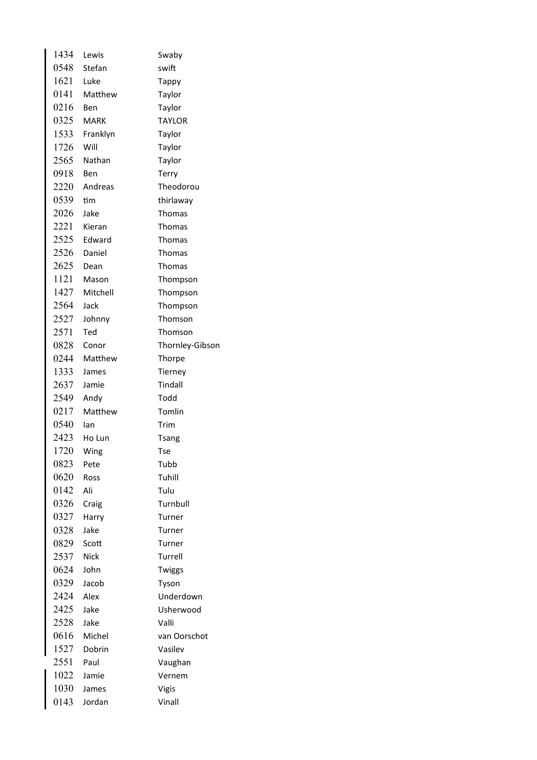| 1434 | Lewis       | Swaby           |
|------|-------------|-----------------|
| 0548 | Stefan      | swift           |
| 1621 | Luke        | <b>Tappy</b>    |
| 0141 | Matthew     | Taylor          |
| 0216 | Ben         | Taylor          |
| 0325 | MARK        | <b>TAYLOR</b>   |
| 1533 | Franklyn    | Taylor          |
| 1726 | Will        | Taylor          |
| 2565 | Nathan      | Taylor          |
| 0918 | Ben         | <b>Terry</b>    |
| 2220 | Andreas     | Theodorou       |
| 0539 | tim         | thirlaway       |
| 2026 | Jake        | Thomas          |
| 2221 | Kieran      | Thomas          |
| 2525 | Edward      | Thomas          |
| 2526 | Daniel      | Thomas          |
| 2625 | Dean        | Thomas          |
| 1121 | Mason       | Thompson        |
| 1427 | Mitchell    | Thompson        |
| 2564 | Jack        | Thompson        |
| 2527 | Johnny      | Thomson         |
| 2571 | Ted         | Thomson         |
| 0828 | Conor       | Thornley-Gibson |
| 0244 | Matthew     | Thorpe          |
| 1333 | James       | Tierney         |
| 2637 | Jamie       | Tindall         |
| 2549 | Andy        | Todd            |
| 0217 | Matthew     | Tomlin          |
| 0540 | Ian         | Trim            |
| 2423 | Ho Lun      | <b>Tsang</b>    |
| 1720 | Wing        | <b>Tse</b>      |
| 0823 | Pete        | Tubb            |
| 0620 | Ross        | Tuhill          |
| 0142 | Ali         | Tulu            |
| 0326 | Craig       | Turnbull        |
| 0327 | Harry       | Turner          |
| 0328 | Jake        | Turner          |
| 0829 | Scott       | Turner          |
| 2537 | <b>Nick</b> | Turrell         |
| 0624 | John        | Twiggs          |
| 0329 | Jacob       | Tyson           |
| 2424 | Alex        | Underdown       |
| 2425 | Jake        | Usherwood       |
| 2528 | Jake        | Valli           |
| 0616 | Michel      |                 |
|      |             | van Oorschot    |
| 1527 | Dobrin      | Vasilev         |
| 2551 | Paul        | Vaughan         |
| 1022 | Jamie       | Vernem          |
| 1030 | James       | Vigis           |
| 0143 | Jordan      | Vinall          |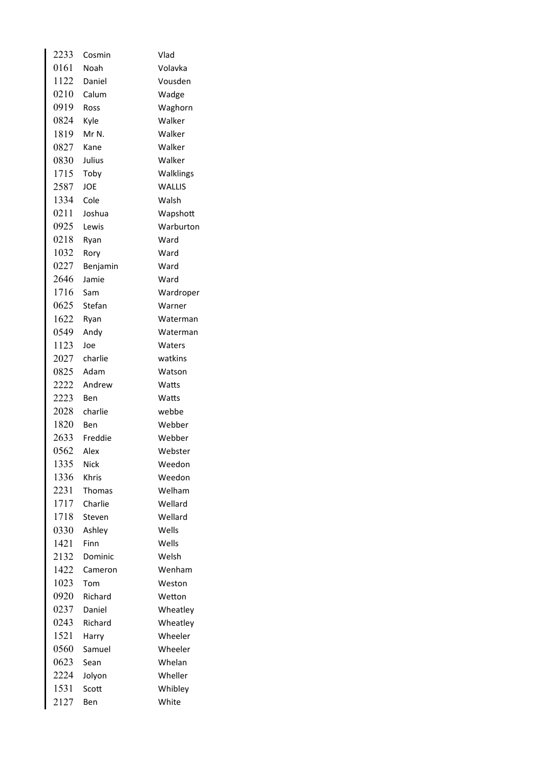| 2233 | Cosmin   | Vlad          |
|------|----------|---------------|
| 0161 | Noah     | Volavka       |
| 1122 | Daniel   | Vousden       |
| 0210 | Calum    | Wadge         |
| 0919 | Ross     | Waghorn       |
| 0824 | Kyle     | Walker        |
| 1819 | Mr N.    | Walker        |
| 0827 | Kane     | Walker        |
| 0830 | Julius   | Walker        |
| 1715 | Toby     | Walklings     |
| 2587 | JOE      | <b>WALLIS</b> |
| 1334 | Cole     | Walsh         |
| 0211 | Joshua   | Wapshott      |
| 0925 | Lewis    | Warburton     |
| 0218 | Ryan     | Ward          |
| 1032 | Rory     | Ward          |
| 0227 | Benjamin | Ward          |
| 2646 | Jamie    | Ward          |
| 1716 | Sam      | Wardroper     |
| 0625 | Stefan   | Warner        |
| 1622 | Ryan     | Waterman      |
| 0549 | Andy     | Waterman      |
| 1123 | Joe      | Waters        |
| 2027 | charlie  | watkins       |
| 0825 | Adam     | Watson        |
| 2222 | Andrew   | Watts         |
| 2223 | Ben      | Watts         |
| 2028 | charlie  | webbe         |
| 1820 | Ben      | Webber        |
| 2633 | Freddie  | Webber        |
| 0562 | Alex     | Webster       |
| 1335 | Nick     | Weedon        |
| 1336 | Khris    | Weedon        |
| 2231 | Thomas   | Welham        |
| 1717 | Charlie  | Wellard       |
| 1718 | Steven   | Wellard       |
| 0330 | Ashley   | Wells         |
| 1421 | Finn     | Wells         |
| 2132 | Dominic  | Welsh         |
| 1422 | Cameron  | Wenham        |
| 1023 | Tom      | Weston        |
| 0920 | Richard  | Wetton        |
| 0237 | Daniel   | Wheatley      |
| 0243 | Richard  | Wheatley      |
| 1521 | Harry    | Wheeler       |
| 0560 | Samuel   | Wheeler       |
| 0623 | Sean     | Whelan        |
| 2224 | Jolyon   | Wheller       |
| 1531 | Scott    | Whibley       |
| 2127 | Ben      | White         |
|      |          |               |